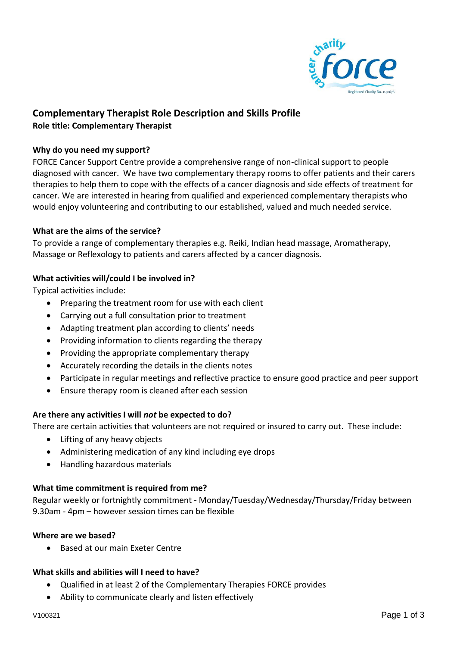

# **Complementary Therapist Role Description and Skills Profile**

**Role title: Complementary Therapist**

### **Why do you need my support?**

FORCE Cancer Support Centre provide a comprehensive range of non-clinical support to people diagnosed with cancer. We have two complementary therapy rooms to offer patients and their carers therapies to help them to cope with the effects of a cancer diagnosis and side effects of treatment for cancer. We are interested in hearing from qualified and experienced complementary therapists who would enjoy volunteering and contributing to our established, valued and much needed service.

## **What are the aims of the service?**

To provide a range of complementary therapies e.g. Reiki, Indian head massage, Aromatherapy, Massage or Reflexology to patients and carers affected by a cancer diagnosis.

## **What activities will/could I be involved in?**

Typical activities include:

- Preparing the treatment room for use with each client
- Carrying out a full consultation prior to treatment
- Adapting treatment plan according to clients' needs
- Providing information to clients regarding the therapy
- Providing the appropriate complementary therapy
- Accurately recording the details in the clients notes
- Participate in regular meetings and reflective practice to ensure good practice and peer support
- Ensure therapy room is cleaned after each session

#### **Are there any activities I will** *not* **be expected to do?**

There are certain activities that volunteers are not required or insured to carry out. These include:

- Lifting of any heavy objects
- Administering medication of any kind including eye drops
- Handling hazardous materials

#### **What time commitment is required from me?**

Regular weekly or fortnightly commitment - Monday/Tuesday/Wednesday/Thursday/Friday between 9.30am - 4pm – however session times can be flexible

#### **Where are we based?**

• Based at our main Exeter Centre

#### **What skills and abilities will I need to have?**

- Qualified in at least 2 of the Complementary Therapies FORCE provides
- Ability to communicate clearly and listen effectively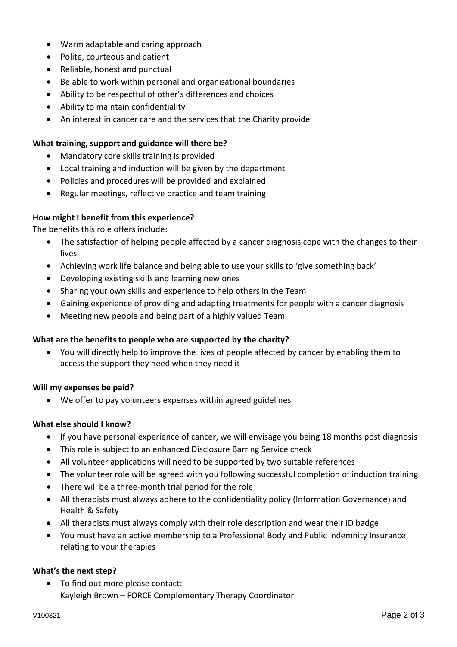- Warm adaptable and caring approach
- Polite, courteous and patient
- Reliable, honest and punctual
- Be able to work within personal and organisational boundaries
- Ability to be respectful of other's differences and choices
- Ability to maintain confidentiality
- An interest in cancer care and the services that the Charity provide

#### **What training, support and guidance will there be?**

- Mandatory core skills training is provided
- Local training and induction will be given by the department
- Policies and procedures will be provided and explained
- Regular meetings, reflective practice and team training

#### **How might I benefit from this experience?**

The benefits this role offers include:

- The satisfaction of helping people affected by a cancer diagnosis cope with the changes to their lives
- Achieving work life balance and being able to use your skills to 'give something back'
- Developing existing skills and learning new ones
- Sharing your own skills and experience to help others in the Team
- Gaining experience of providing and adapting treatments for people with a cancer diagnosis
- Meeting new people and being part of a highly valued Team

#### **What are the benefits to people who are supported by the charity?**

• You will directly help to improve the lives of people affected by cancer by enabling them to access the support they need when they need it

#### **Will my expenses be paid?**

• We offer to pay volunteers expenses within agreed guidelines

#### **What else should I know?**

- If you have personal experience of cancer, we will envisage you being 18 months post diagnosis
- This role is subject to an enhanced Disclosure Barring Service check
- All volunteer applications will need to be supported by two suitable references
- The volunteer role will be agreed with you following successful completion of induction training
- There will be a three-month trial period for the role
- All therapists must always adhere to the confidentiality policy (Information Governance) and Health & Safety
- All therapists must always comply with their role description and wear their ID badge
- You must have an active membership to a Professional Body and Public Indemnity Insurance relating to your therapies

#### **What's the next step?**

• To find out more please contact: Kayleigh Brown – FORCE Complementary Therapy Coordinator